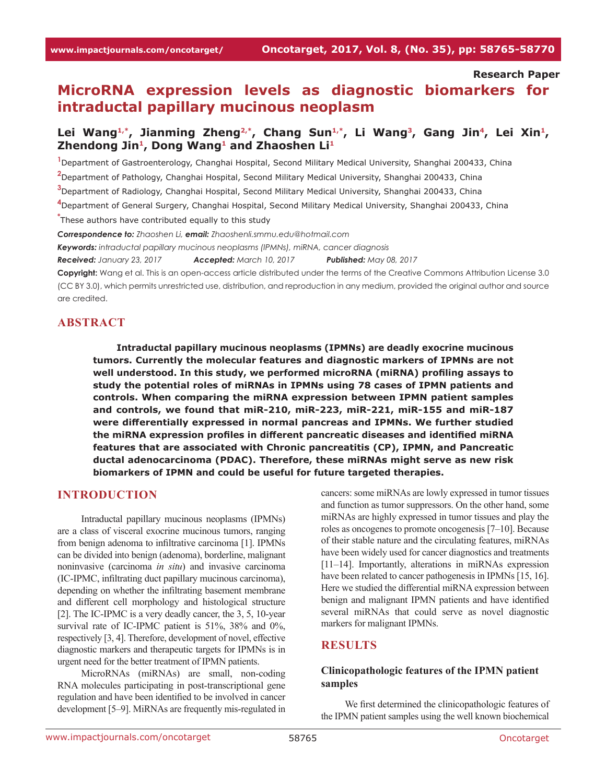#### **Research Paper**

# **MicroRNA expression levels as diagnostic biomarkers for intraductal papillary mucinous neoplasm**

# Lei Wang<sup>1,\*</sup>, Jianming Zheng<sup>2,\*</sup>, Chang Sun<sup>1,\*</sup>, Li Wang<sup>3</sup>, Gang Jin<sup>4</sup>, Lei Xin<sup>1</sup>, **Zhendong Jin1, Dong Wang1 and Zhaoshen Li1**

 Department of Gastroenterology, Changhai Hospital, Second Military Medical University, Shanghai 200433, China Department of Pathology, Changhai Hospital, Second Military Medical University, Shanghai 200433, China Department of Radiology, Changhai Hospital, Second Military Medical University, Shanghai 200433, China Department of General Surgery, Changhai Hospital, Second Military Medical University, Shanghai 200433, China **\*** These authors have contributed equally to this study *Correspondence to: Zhaoshen Li, email: Zhaoshenli.smmu.edu@hotmail.com*

*Keywords: intraductal papillary mucinous neoplasms (IPMNs), miRNA, cancer diagnosis*

*Received: January 23, 2017 Accepted: March 10, 2017 Published: May 08, 2017*

**Copyright:** Wang et al. This is an open-access article distributed under the terms of the Creative Commons Attribution License 3.0 (CC BY 3.0), which permits unrestricted use, distribution, and reproduction in any medium, provided the original author and source are credited.

### **ABSTRACT**

**Intraductal papillary mucinous neoplasms (IPMNs) are deadly exocrine mucinous tumors. Currently the molecular features and diagnostic markers of IPMNs are not well understood. In this study, we performed microRNA (miRNA) profiling assays to study the potential roles of miRNAs in IPMNs using 78 cases of IPMN patients and controls. When comparing the miRNA expression between IPMN patient samples and controls, we found that miR-210, miR-223, miR-221, miR-155 and miR-187 were differentially expressed in normal pancreas and IPMNs. We further studied the miRNA expression profiles in different pancreatic diseases and identified miRNA features that are associated with Chronic pancreatitis (CP), IPMN, and Pancreatic ductal adenocarcinoma (PDAC). Therefore, these miRNAs might serve as new risk biomarkers of IPMN and could be useful for future targeted therapies.**

### **INTRODUCTION**

Intraductal papillary mucinous neoplasms (IPMNs) are a class of visceral exocrine mucinous tumors, ranging from benign adenoma to infiltrative carcinoma [1]. IPMNs can be divided into benign (adenoma), borderline, malignant noninvasive (carcinoma *in situ*) and invasive carcinoma (IC-IPMC, infiltrating duct papillary mucinous carcinoma), depending on whether the infiltrating basement membrane and different cell morphology and histological structure [2]. The IC-IPMC is a very deadly cancer, the 3, 5, 10-year survival rate of IC-IPMC patient is 51%, 38% and 0%, respectively [3, 4]. Therefore, development of novel, effective diagnostic markers and therapeutic targets for IPMNs is in urgent need for the better treatment of IPMN patients.

MicroRNAs (miRNAs) are small, non-coding RNA molecules participating in post-transcriptional gene regulation and have been identified to be involved in cancer development [5–9]. MiRNAs are frequently mis-regulated in cancers: some miRNAs are lowly expressed in tumor tissues and function as tumor suppressors. On the other hand, some miRNAs are highly expressed in tumor tissues and play the roles as oncogenes to promote oncogenesis [7–10]. Because of their stable nature and the circulating features, miRNAs have been widely used for cancer diagnostics and treatments [11–14]. Importantly, alterations in miRNAs expression have been related to cancer pathogenesis in IPMNs [15, 16]. Here we studied the differential miRNA expression between benign and malignant IPMN patients and have identified several miRNAs that could serve as novel diagnostic markers for malignant IPMNs.

### **RESULTS**

### **Clinicopathologic features of the IPMN patient samples**

We first determined the clinicopathologic features of the IPMN patient samples using the well known biochemical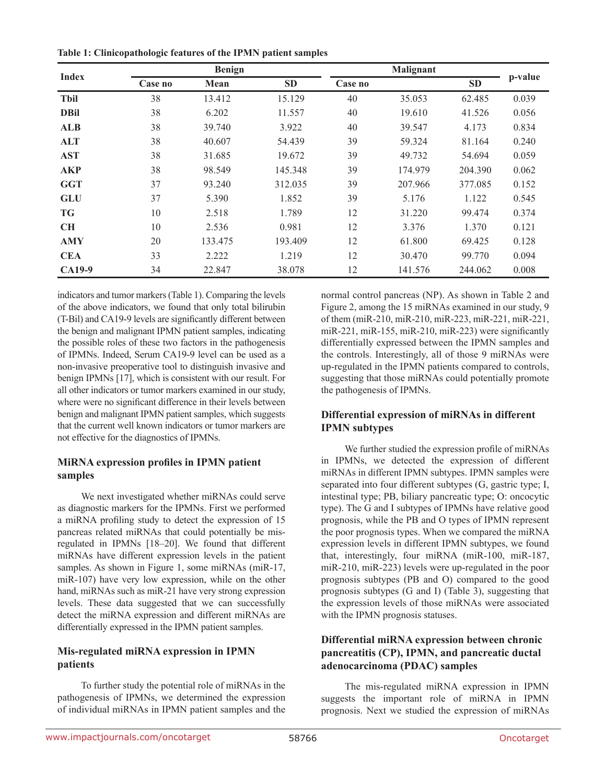**Table 1: Clinicopathologic features of the IPMN patient samples**

| <b>Index</b> | <b>Benign</b> |         |           | <b>Malignant</b> |         |           |         |
|--------------|---------------|---------|-----------|------------------|---------|-----------|---------|
|              | Case no       | Mean    | <b>SD</b> | Case no          |         | <b>SD</b> | p-value |
| <b>Tbil</b>  | 38            | 13.412  | 15.129    | 40               | 35.053  | 62.485    | 0.039   |
| <b>DBil</b>  | 38            | 6.202   | 11.557    | 40               | 19.610  | 41.526    | 0.056   |
| <b>ALB</b>   | 38            | 39.740  | 3.922     | 40               | 39.547  | 4.173     | 0.834   |
| <b>ALT</b>   | 38            | 40.607  | 54.439    | 39               | 59.324  | 81.164    | 0.240   |
| <b>AST</b>   | 38            | 31.685  | 19.672    | 39               | 49.732  | 54.694    | 0.059   |
| <b>AKP</b>   | 38            | 98.549  | 145.348   | 39               | 174.979 | 204.390   | 0.062   |
| <b>GGT</b>   | 37            | 93.240  | 312.035   | 39               | 207.966 | 377.085   | 0.152   |
| <b>GLU</b>   | 37            | 5.390   | 1.852     | 39               | 5.176   | 1.122     | 0.545   |
| <b>TG</b>    | 10            | 2.518   | 1.789     | 12               | 31.220  | 99.474    | 0.374   |
| <b>CH</b>    | 10            | 2.536   | 0.981     | 12               | 3.376   | 1.370     | 0.121   |
| <b>AMY</b>   | 20            | 133.475 | 193.409   | 12               | 61.800  | 69.425    | 0.128   |
| <b>CEA</b>   | 33            | 2.222   | 1.219     | 12               | 30.470  | 99.770    | 0.094   |
| CA19-9       | 34            | 22.847  | 38.078    | 12               | 141.576 | 244.062   | 0.008   |

indicators and tumor markers (Table 1). Comparing the levels of the above indicators, we found that only total bilirubin (T-Bil) and CA19-9 levels are significantly different between the benign and malignant IPMN patient samples, indicating the possible roles of these two factors in the pathogenesis of IPMNs. Indeed, Serum CA19-9 level can be used as a non-invasive preoperative tool to distinguish invasive and benign IPMNs [17], which is consistent with our result. For all other indicators or tumor markers examined in our study, where were no significant difference in their levels between benign and malignant IPMN patient samples, which suggests that the current well known indicators or tumor markers are not effective for the diagnostics of IPMNs.

# **MiRNA expression profiles in IPMN patient samples**

We next investigated whether miRNAs could serve as diagnostic markers for the IPMNs. First we performed a miRNA profiling study to detect the expression of 15 pancreas related miRNAs that could potentially be misregulated in IPMNs [18–20]. We found that different miRNAs have different expression levels in the patient samples. As shown in Figure 1, some miRNAs (miR-17, miR-107) have very low expression, while on the other hand, miRNAs such as miR-21 have very strong expression levels. These data suggested that we can successfully detect the miRNA expression and different miRNAs are differentially expressed in the IPMN patient samples.

# **Mis-regulated miRNA expression in IPMN patients**

To further study the potential role of miRNAs in the pathogenesis of IPMNs, we determined the expression of individual miRNAs in IPMN patient samples and the normal control pancreas (NP). As shown in Table 2 and Figure 2, among the 15 miRNAs examined in our study, 9 of them (miR-210, miR-210, miR-223, miR-221, miR-221, miR-221, miR-155, miR-210, miR-223) were significantly differentially expressed between the IPMN samples and the controls. Interestingly, all of those 9 miRNAs were up-regulated in the IPMN patients compared to controls, suggesting that those miRNAs could potentially promote the pathogenesis of IPMNs.

# **Differential expression of miRNAs in different IPMN subtypes**

We further studied the expression profile of miRNAs in IPMNs, we detected the expression of different miRNAs in different IPMN subtypes. IPMN samples were separated into four different subtypes (G, gastric type; I, intestinal type; PB, biliary pancreatic type; O: oncocytic type). The G and I subtypes of IPMNs have relative good prognosis, while the PB and O types of IPMN represent the poor prognosis types. When we compared the miRNA expression levels in different IPMN subtypes, we found that, interestingly, four miRNA (miR-100, miR-187, miR-210, miR-223) levels were up-regulated in the poor prognosis subtypes (PB and O) compared to the good prognosis subtypes (G and I) (Table 3), suggesting that the expression levels of those miRNAs were associated with the IPMN prognosis statuses.

# **Differential miRNA expression between chronic pancreatitis (CP), IPMN, and pancreatic ductal adenocarcinoma (PDAC) samples**

The mis-regulated miRNA expression in IPMN suggests the important role of miRNA in IPMN prognosis. Next we studied the expression of miRNAs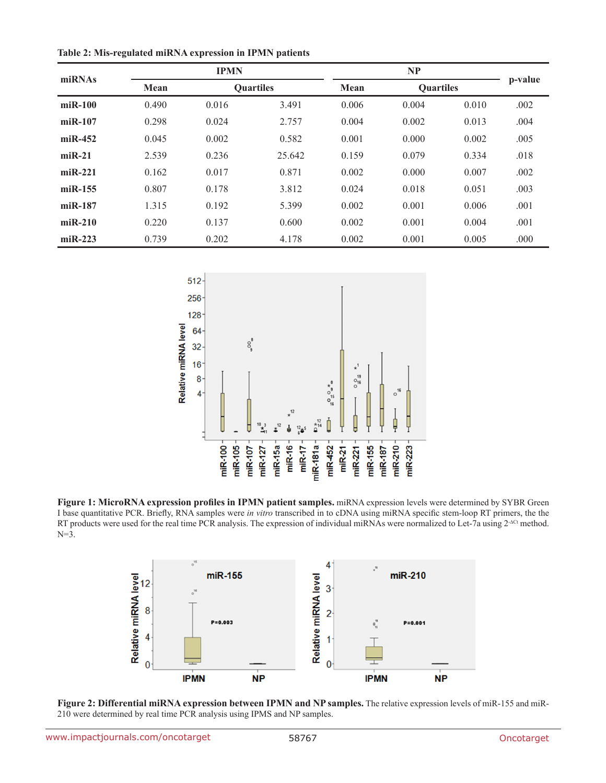**Table 2: Mis-regulated miRNA expression in IPMN patients**

| miRNAs        | <b>IPMN</b> |                  |        | <b>NP</b> |                  |       |         |
|---------------|-------------|------------------|--------|-----------|------------------|-------|---------|
|               | Mean        | <b>Quartiles</b> |        | Mean      | <b>Quartiles</b> |       | p-value |
| $m$ i $R-100$ | 0.490       | 0.016            | 3.491  | 0.006     | 0.004            | 0.010 | .002    |
| $miR-107$     | 0.298       | 0.024            | 2.757  | 0.004     | 0.002            | 0.013 | .004    |
| $miR-452$     | 0.045       | 0.002            | 0.582  | 0.001     | 0.000            | 0.002 | .005    |
| $miR-21$      | 2.539       | 0.236            | 25.642 | 0.159     | 0.079            | 0.334 | .018    |
| $miR-221$     | 0.162       | 0.017            | 0.871  | 0.002     | 0.000            | 0.007 | .002    |
| $miR-155$     | 0.807       | 0.178            | 3.812  | 0.024     | 0.018            | 0.051 | .003    |
| $miR-187$     | 1.315       | 0.192            | 5.399  | 0.002     | 0.001            | 0.006 | .001    |
| $miR-210$     | 0.220       | 0.137            | 0.600  | 0.002     | 0.001            | 0.004 | .001    |
| $miR-223$     | 0.739       | 0.202            | 4.178  | 0.002     | 0.001            | 0.005 | .000    |



**Figure 1: MicroRNA expression profiles in IPMN patient samples.** miRNA expression levels were determined by SYBR Green I base quantitative PCR. Briefly, RNA samples were *in vitro* transcribed in to cDNA using miRNA specific stem-loop RT primers, the the RT products were used for the real time PCR analysis. The expression of individual miRNAs were normalized to Let-7a using 2<sup>-∆Ct</sup> method. N=3.



**Figure 2: Differential miRNA expression between IPMN and NP samples.** The relative expression levels of miR-155 and miR-210 were determined by real time PCR analysis using IPMS and NP samples.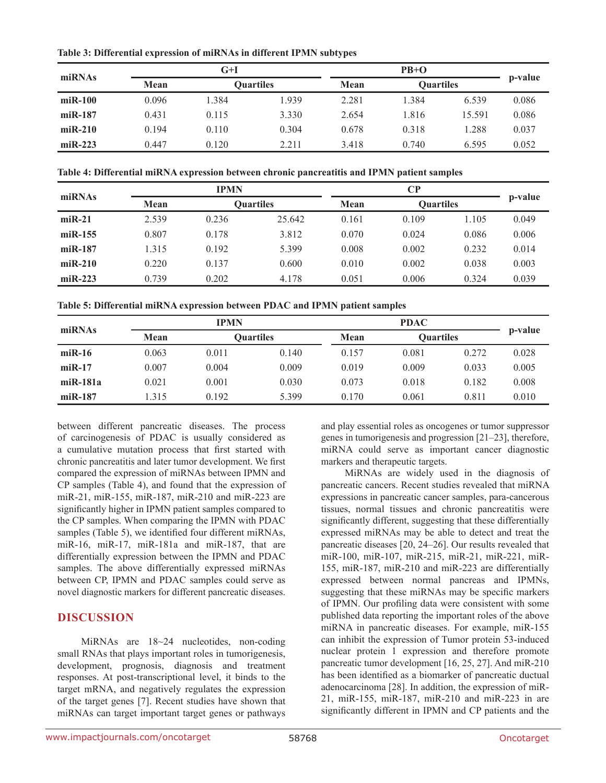**Table 3: Differential expression of miRNAs in different IPMN subtypes**

| miRNAs    | G+I   |       |                  |       |                  |        |         |  |
|-----------|-------|-------|------------------|-------|------------------|--------|---------|--|
|           | Mean  |       | <b>Ouartiles</b> | Mean  | <b>Ouartiles</b> |        | p-value |  |
| $miR-100$ | 0.096 | 1.384 | 1.939            | 2.281 | 1.384            | 6.539  | 0.086   |  |
| $miR-187$ | 0.431 | 0.115 | 3.330            | 2.654 | 1.816            | 15.591 | 0.086   |  |
| $miR-210$ | 0.194 | 0.110 | 0.304            | 0.678 | 0.318            | 1.288  | 0.037   |  |
| $miR-223$ | 0.447 | 0.120 | 2.211            | 3.418 | 0.740            | 6.595  | 0.052   |  |

**Table 4: Differential miRNA expression between chronic pancreatitis and IPMN patient samples**

| miRNAs    | <b>IPMN</b> |       |                  |       |                  |       |         |
|-----------|-------------|-------|------------------|-------|------------------|-------|---------|
|           | Mean        |       | <b>Ouartiles</b> | Mean  | <b>Quartiles</b> |       | p-value |
| $miR-21$  | 2.539       | 0.236 | 25.642           | 0.161 | 0.109            | 1.105 | 0.049   |
| $miR-155$ | 0.807       | 0.178 | 3.812            | 0.070 | 0.024            | 0.086 | 0.006   |
| $miR-187$ | 1.315       | 0.192 | 5.399            | 0.008 | 0.002            | 0.232 | 0.014   |
| $miR-210$ | 0.220       | 0.137 | 0.600            | 0.010 | 0.002            | 0.038 | 0.003   |
| $miR-223$ | 0.739       | 0.202 | 4.178            | 0.051 | 0.006            | 0.324 | 0.039   |

**Table 5: Differential miRNA expression between PDAC and IPMN patient samples**

| miRNAs     | <b>IPMN</b> |       |                  |       | p-value |                  |       |
|------------|-------------|-------|------------------|-------|---------|------------------|-------|
|            | Mean        |       | <b>Ouartiles</b> | Mean  |         | <b>Ouartiles</b> |       |
| $miR-16$   | 0.063       | 0.011 | 0.140            | 0.157 | 0.081   | 0.272            | 0.028 |
| $miR-17$   | 0.007       | 0.004 | 0.009            | 0.019 | 0.009   | 0.033            | 0.005 |
| $miR-181a$ | 0.021       | 0.001 | 0.030            | 0.073 | 0.018   | 0.182            | 0.008 |
| $miR-187$  | .315        | 0.192 | 5.399            | 0.170 | 0.061   | 0.811            | 0.010 |

between different pancreatic diseases. The process of carcinogenesis of PDAC is usually considered as a cumulative mutation process that first started with chronic pancreatitis and later tumor development. We first compared the expression of miRNAs between IPMN and CP samples (Table 4), and found that the expression of miR-21, miR-155, miR-187, miR-210 and miR-223 are significantly higher in IPMN patient samples compared to the CP samples. When comparing the IPMN with PDAC samples (Table 5), we identified four different miRNAs, miR-16, miR-17, miR-181a and miR-187, that are differentially expression between the IPMN and PDAC samples. The above differentially expressed miRNAs between CP, IPMN and PDAC samples could serve as novel diagnostic markers for different pancreatic diseases.

# **DISCUSSION**

MiRNAs are 18~24 nucleotides, non-coding small RNAs that plays important roles in tumorigenesis, development, prognosis, diagnosis and treatment responses. At post-transcriptional level, it binds to the target mRNA, and negatively regulates the expression of the target genes [7]. Recent studies have shown that miRNAs can target important target genes or pathways and play essential roles as oncogenes or tumor suppressor genes in tumorigenesis and progression [21–23], therefore, miRNA could serve as important cancer diagnostic markers and therapeutic targets.

MiRNAs are widely used in the diagnosis of pancreatic cancers. Recent studies revealed that miRNA expressions in pancreatic cancer samples, para-cancerous tissues, normal tissues and chronic pancreatitis were significantly different, suggesting that these differentially expressed miRNAs may be able to detect and treat the pancreatic diseases [20, 24–26]. Our results revealed that miR-100, miR-107, miR-215, miR-21, miR-221, miR-155, miR-187, miR-210 and miR-223 are differentially expressed between normal pancreas and IPMNs, suggesting that these miRNAs may be specific markers of IPMN. Our profiling data were consistent with some published data reporting the important roles of the above miRNA in pancreatic diseases. For example, miR-155 can inhibit the expression of Tumor protein 53-induced nuclear protein 1 expression and therefore promote pancreatic tumor development [16, 25, 27]. And miR-210 has been identified as a biomarker of pancreatic ductual adenocarcinoma [28]. In addition, the expression of miR-21, miR-155, miR-187, miR-210 and miR-223 in are significantly different in IPMN and CP patients and the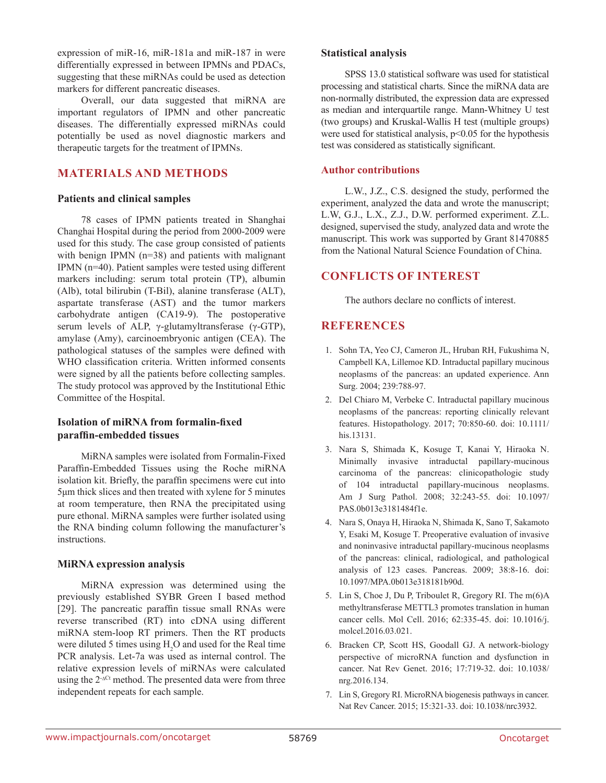expression of miR-16, miR-181a and miR-187 in were differentially expressed in between IPMNs and PDACs, suggesting that these miRNAs could be used as detection markers for different pancreatic diseases.

Overall, our data suggested that miRNA are important regulators of IPMN and other pancreatic diseases. The differentially expressed miRNAs could potentially be used as novel diagnostic markers and therapeutic targets for the treatment of IPMNs.

# **MATERIALS AND METHODS**

### **Patients and clinical samples**

78 cases of IPMN patients treated in Shanghai Changhai Hospital during the period from 2000-2009 were used for this study. The case group consisted of patients with benign IPMN (n=38) and patients with malignant IPMN (n=40). Patient samples were tested using different markers including: serum total protein (TP), albumin (Alb), total bilirubin (T-Bil), alanine transferase (ALT), aspartate transferase (AST) and the tumor markers carbohydrate antigen (CA19-9). The postoperative serum levels of ALP, γ-glutamyltransferase (γ-GTP), amylase (Amy), carcinoembryonic antigen (CEA). The pathological statuses of the samples were defined with WHO classification criteria. Written informed consents were signed by all the patients before collecting samples. The study protocol was approved by the Institutional Ethic Committee of the Hospital.

### **Isolation of miRNA from formalin-fixed paraffin-embedded tissues**

MiRNA samples were isolated from Formalin-Fixed Paraffin-Embedded Tissues using the Roche miRNA isolation kit. Briefly, the paraffin specimens were cut into 5μm thick slices and then treated with xylene for 5 minutes at room temperature, then RNA the precipitated using pure ethonal. MiRNA samples were further isolated using the RNA binding column following the manufacturer's instructions.

#### **MiRNA expression analysis**

MiRNA expression was determined using the previously established SYBR Green I based method [29]. The pancreatic paraffin tissue small RNAs were reverse transcribed (RT) into cDNA using different miRNA stem-loop RT primers. Then the RT products were diluted 5 times using  $H_2O$  and used for the Real time PCR analysis. Let-7a was used as internal control. The relative expression levels of miRNAs were calculated using the 2-∆Ct method. The presented data were from three independent repeats for each sample.

### **Statistical analysis**

SPSS 13.0 statistical software was used for statistical processing and statistical charts. Since the miRNA data are non-normally distributed, the expression data are expressed as median and interquartile range. Mann-Whitney U test (two groups) and Kruskal-Wallis H test (multiple groups) were used for statistical analysis,  $p<0.05$  for the hypothesis test was considered as statistically significant.

### **Author contributions**

L.W., J.Z., C.S. designed the study, performed the experiment, analyzed the data and wrote the manuscript; L.W, G.J., L.X., Z.J., D.W. performed experiment. Z.L. designed, supervised the study, analyzed data and wrote the manuscript. This work was supported by Grant 81470885 from the National Natural Science Foundation of China.

# **CONFLICTS OF INTEREST**

The authors declare no conflicts of interest.

# **REFERENCES**

- 1. Sohn TA, Yeo CJ, Cameron JL, Hruban RH, Fukushima N, Campbell KA, Lillemoe KD. Intraductal papillary mucinous neoplasms of the pancreas: an updated experience. Ann Surg. 2004; 239:788-97.
- 2. Del Chiaro M, Verbeke C. Intraductal papillary mucinous neoplasms of the pancreas: reporting clinically relevant features. Histopathology. 2017; 70:850-60. doi: 10.1111/ his.13131.
- 3. Nara S, Shimada K, Kosuge T, Kanai Y, Hiraoka N. Minimally invasive intraductal papillary-mucinous carcinoma of the pancreas: clinicopathologic study of 104 intraductal papillary-mucinous neoplasms. Am J Surg Pathol. 2008; 32:243-55. doi: 10.1097/ PAS.0b013e3181484f1e.
- 4. Nara S, Onaya H, Hiraoka N, Shimada K, Sano T, Sakamoto Y, Esaki M, Kosuge T. Preoperative evaluation of invasive and noninvasive intraductal papillary-mucinous neoplasms of the pancreas: clinical, radiological, and pathological analysis of 123 cases. Pancreas. 2009; 38:8-16. doi: 10.1097/MPA.0b013e318181b90d.
- 5. Lin S, Choe J, Du P, Triboulet R, Gregory RI. The m(6)A methyltransferase METTL3 promotes translation in human cancer cells. Mol Cell. 2016; 62:335-45. doi: 10.1016/j. molcel.2016.03.021.
- 6. Bracken CP, Scott HS, Goodall GJ. A network-biology perspective of microRNA function and dysfunction in cancer. Nat Rev Genet. 2016; 17:719-32. doi: 10.1038/ nrg.2016.134.
- 7. Lin S, Gregory RI. MicroRNA biogenesis pathways in cancer. Nat Rev Cancer. 2015; 15:321-33. doi: 10.1038/nrc3932.